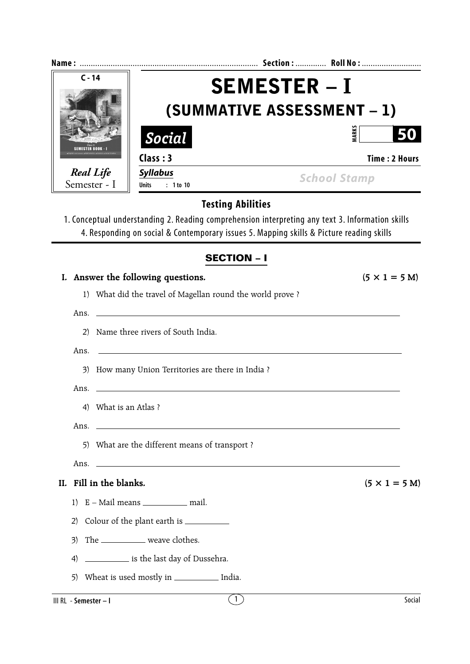| $C - 14$                                                                                                                                                                              | <b>SEMESTER - I</b><br>(SUMMATIVE ASSESSMENT – 1)                                                                |                                                                                                                                                                                              |
|---------------------------------------------------------------------------------------------------------------------------------------------------------------------------------------|------------------------------------------------------------------------------------------------------------------|----------------------------------------------------------------------------------------------------------------------------------------------------------------------------------------------|
|                                                                                                                                                                                       |                                                                                                                  |                                                                                                                                                                                              |
|                                                                                                                                                                                       | Social                                                                                                           | <b>MARKS</b>                                                                                                                                                                                 |
|                                                                                                                                                                                       | Class: 3                                                                                                         | <b>Time: 2 Hours</b>                                                                                                                                                                         |
| <b>SEMESTER BOOK - I</b><br><b>Real Life</b><br>Semester - I<br>(2)<br>Ans.<br>Ans.<br>4) What is an Atlas ?<br>Ans.<br>5)<br>Ans.<br>II. Fill in the blanks.<br>1)<br>2)<br>3)<br>4) | <b>Syllabus</b><br><b>Units</b><br>$: 1$ to 10                                                                   | <b>School Stamp</b>                                                                                                                                                                          |
|                                                                                                                                                                                       |                                                                                                                  | <b>Testing Abilities</b>                                                                                                                                                                     |
|                                                                                                                                                                                       |                                                                                                                  | 1. Conceptual understanding 2. Reading comprehension interpreting any text 3. Information skills<br>4. Responding on social & Contemporary issues 5. Mapping skills & Picture reading skills |
|                                                                                                                                                                                       |                                                                                                                  | <b>SECTION - I</b>                                                                                                                                                                           |
|                                                                                                                                                                                       | I. Answer the following questions.                                                                               | $(5 \times 1 = 5 M)$                                                                                                                                                                         |
|                                                                                                                                                                                       | 1) What did the travel of Magellan round the world prove?                                                        |                                                                                                                                                                                              |
|                                                                                                                                                                                       | Ans.                                                                                                             |                                                                                                                                                                                              |
|                                                                                                                                                                                       | Name three rivers of South India.                                                                                |                                                                                                                                                                                              |
|                                                                                                                                                                                       | and the control of the control of the control of the control of the control of the control of the control of the |                                                                                                                                                                                              |
|                                                                                                                                                                                       | 3) How many Union Territories are there in India ?                                                               |                                                                                                                                                                                              |
|                                                                                                                                                                                       |                                                                                                                  |                                                                                                                                                                                              |
|                                                                                                                                                                                       |                                                                                                                  |                                                                                                                                                                                              |
|                                                                                                                                                                                       |                                                                                                                  |                                                                                                                                                                                              |
|                                                                                                                                                                                       | What are the different means of transport ?                                                                      |                                                                                                                                                                                              |
|                                                                                                                                                                                       | <u> 1989 - Johann Barbara, martxa alemaniar amerikan personal (h. 1989).</u>                                     |                                                                                                                                                                                              |
|                                                                                                                                                                                       |                                                                                                                  | $(5 \times 1 = 5 M)$                                                                                                                                                                         |
|                                                                                                                                                                                       | E - Mail means ______________ mail.                                                                              |                                                                                                                                                                                              |
|                                                                                                                                                                                       |                                                                                                                  |                                                                                                                                                                                              |
|                                                                                                                                                                                       | The _____________ weave clothes.                                                                                 |                                                                                                                                                                                              |
|                                                                                                                                                                                       | is the last day of Dussehra.                                                                                     |                                                                                                                                                                                              |
| 5)                                                                                                                                                                                    | Wheat is used mostly in _____________ India.                                                                     |                                                                                                                                                                                              |
| III RL - Semester - I                                                                                                                                                                 |                                                                                                                  | $\left(1\right)$<br>Social                                                                                                                                                                   |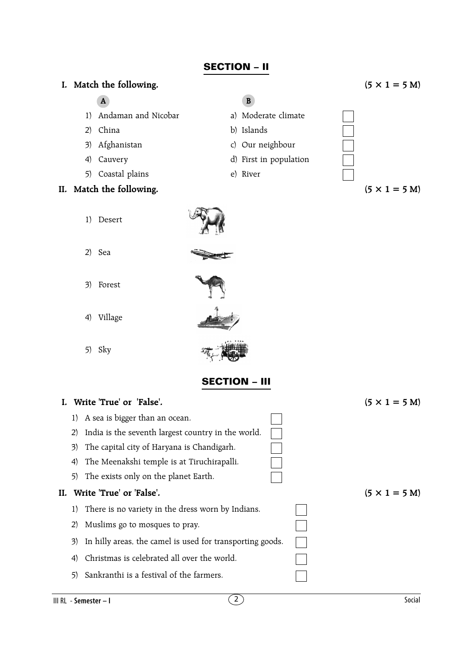## **SECTION – II**

### **I.** Match the following.  $(5 \times 1 = 5 \text{ M})$

- **A B**
- 1) Andaman and Nicobar a) Moderate climate
- 2) China b) Islands
- 3) Afghanistan c) Our neighbour
- 4) Cauvery d) First in population
- 5) Coastal plains e) River

- 1) Desert
- 2) Sea
- 3) Forest



5) Sky



### **SECTION – III**

# **I.** Write 'True' or 'False'.  $(5 \times 1 = 5 \text{ M})$ 1) A sea is bigger than an ocean. 2) India is the seventh largest country in the world. 3) The capital city of Haryana is Chandigarh. 4) The Meenakshi temple is at Tiruchirapalli. 5) The exists only on the planet Earth. **II.** Write 'True' or 'False'.  $(5 \times 1 = 5 \text{ M})$ 1) There is no variety in the dress worn by Indians. 2) Muslims go to mosques to pray. 3) In hilly areas, the camel is used for transporting goods. 4) Christmas is celebrated all over the world. 5) Sankranthi is a festival of the farmers.

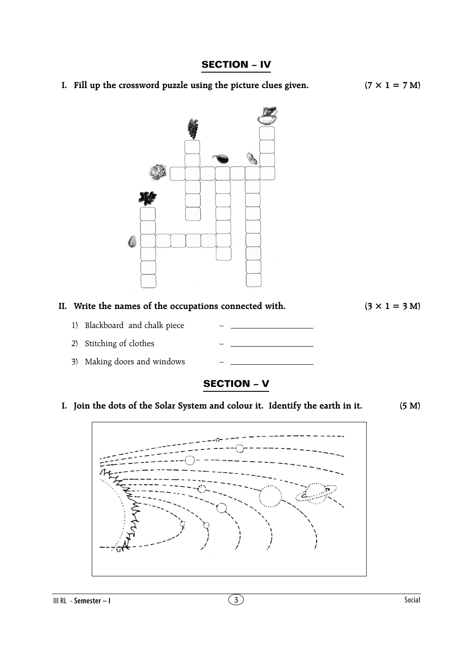### **SECTION – IV**

**I. Fill up the crossword puzzle using the picture clues given.**  $(7 \times 1 = 7 M)$ 





## **SECTION – V**

**I. Join the dots of the Solar System and colour it. Identify the earth in it. (5 M)**